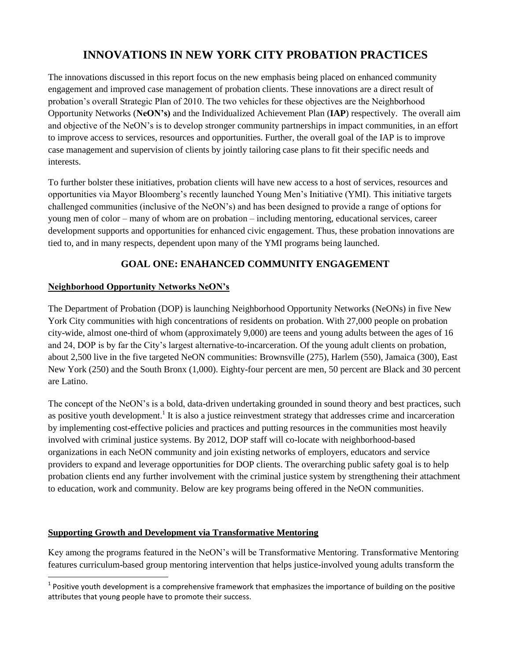## **INNOVATIONS IN NEW YORK CITY PROBATION PRACTICES**

The innovations discussed in this report focus on the new emphasis being placed on enhanced community engagement and improved case management of probation clients. These innovations are a direct result of probation's overall Strategic Plan of 2010. The two vehicles for these objectives are the Neighborhood Opportunity Networks (**NeON's)** and the Individualized Achievement Plan (**IAP**) respectively. The overall aim and objective of the NeON's is to develop stronger community partnerships in impact communities, in an effort to improve access to services, resources and opportunities. Further, the overall goal of the IAP is to improve case management and supervision of clients by jointly tailoring case plans to fit their specific needs and interests.

To further bolster these initiatives, probation clients will have new access to a host of services, resources and opportunities via Mayor Bloomberg's recently launched Young Men's Initiative (YMI). This initiative targets challenged communities (inclusive of the NeON's) and has been designed to provide a range of options for young men of color – many of whom are on probation – including mentoring, educational services, career development supports and opportunities for enhanced civic engagement. Thus, these probation innovations are tied to, and in many respects, dependent upon many of the YMI programs being launched.

## **GOAL ONE: ENAHANCED COMMUNITY ENGAGEMENT**

### **Neighborhood Opportunity Networks NeON's**

The Department of Probation (DOP) is launching Neighborhood Opportunity Networks (NeONs) in five New York City communities with high concentrations of residents on probation. With 27,000 people on probation city-wide, almost one-third of whom (approximately 9,000) are teens and young adults between the ages of 16 and 24, DOP is by far the City's largest alternative-to-incarceration. Of the young adult clients on probation, about 2,500 live in the five targeted NeON communities: Brownsville (275), Harlem (550), Jamaica (300), East New York (250) and the South Bronx (1,000). Eighty-four percent are men, 50 percent are Black and 30 percent are Latino.

The concept of the NeON's is a bold, data-driven undertaking grounded in sound theory and best practices, such as positive youth development.<sup>1</sup> It is also a justice reinvestment strategy that addresses crime and incarceration by implementing cost-effective policies and practices and putting resources in the communities most heavily involved with criminal justice systems. By 2012, DOP staff will co-locate with neighborhood-based organizations in each NeON community and join existing networks of employers, educators and service providers to expand and leverage opportunities for DOP clients. The overarching public safety goal is to help probation clients end any further involvement with the criminal justice system by strengthening their attachment to education, work and community. Below are key programs being offered in the NeON communities.

### **Supporting Growth and Development via Transformative Mentoring**

Key among the programs featured in the NeON's will be Transformative Mentoring. Transformative Mentoring features curriculum-based group mentoring intervention that helps justice-involved young adults transform the

**The set of the verole of the set of the set of the set of the set of the set of the importance of building on the positive and Prositive set of positive set of the positive set of the positive set of the positive set of t** attributes that young people have to promote their success.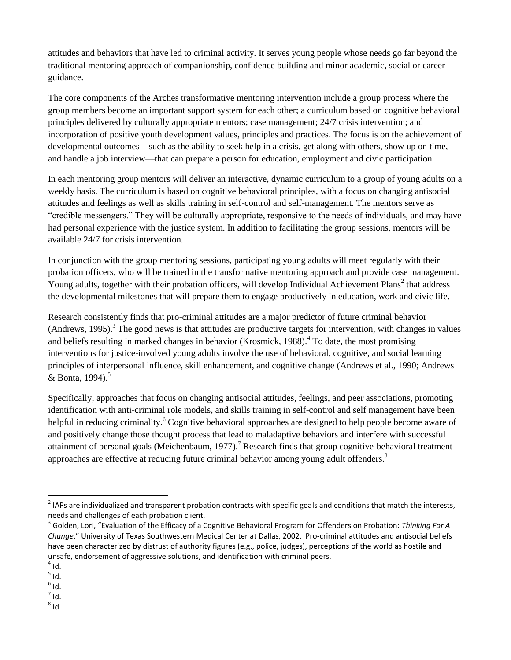attitudes and behaviors that have led to criminal activity. It serves young people whose needs go far beyond the traditional mentoring approach of companionship, confidence building and minor academic, social or career guidance.

The core components of the Arches transformative mentoring intervention include a group process where the group members become an important support system for each other; a curriculum based on cognitive behavioral principles delivered by culturally appropriate mentors; case management; 24/7 crisis intervention; and incorporation of positive youth development values, principles and practices. The focus is on the achievement of developmental outcomes—such as the ability to seek help in a crisis, get along with others, show up on time, and handle a job interview—that can prepare a person for education, employment and civic participation.

In each mentoring group mentors will deliver an interactive, dynamic curriculum to a group of young adults on a weekly basis. The curriculum is based on cognitive behavioral principles, with a focus on changing antisocial attitudes and feelings as well as skills training in self-control and self-management. The mentors serve as "credible messengers." They will be culturally appropriate, responsive to the needs of individuals, and may have had personal experience with the justice system. In addition to facilitating the group sessions, mentors will be available 24/7 for crisis intervention.

In conjunction with the group mentoring sessions, participating young adults will meet regularly with their probation officers, who will be trained in the transformative mentoring approach and provide case management. Young adults, together with their probation officers, will develop Individual Achievement Plans<sup>2</sup> that address the developmental milestones that will prepare them to engage productively in education, work and civic life.

Research consistently finds that pro-criminal attitudes are a major predictor of future criminal behavior (Andrews, 1995).<sup>3</sup> The good news is that attitudes are productive targets for intervention, with changes in values and beliefs resulting in marked changes in behavior (Krosmick, 1988).<sup>4</sup> To date, the most promising interventions for justice-involved young adults involve the use of behavioral, cognitive, and social learning principles of interpersonal influence, skill enhancement, and cognitive change (Andrews et al., 1990; Andrews & Bonta, 1994).<sup>5</sup>

Specifically, approaches that focus on changing antisocial attitudes, feelings, and peer associations, promoting identification with anti-criminal role models, and skills training in self-control and self management have been helpful in reducing criminality.<sup>6</sup> Cognitive behavioral approaches are designed to help people become aware of and positively change those thought process that lead to maladaptive behaviors and interfere with successful attainment of personal goals (Meichenbaum, 1977).<sup>7</sup> Research finds that group cognitive-behavioral treatment approaches are effective at reducing future criminal behavior among young adult offenders.<sup>8</sup>

**EXELT APS are individualized and transparent probation contracts with specific goals and conditions that match the interests, and in a state interests, and in a state interests, and in a state interests, and in a state in** needs and challenges of each probation client.

<sup>3</sup> Golden, Lori, "Evaluation of the Efficacy of a Cognitive Behavioral Program for Offenders on Probation: *Thinking For A Change*," University of Texas Southwestern Medical Center at Dallas, 2002. Pro-criminal attitudes and antisocial beliefs have been characterized by distrust of authority figures (e.g., police, judges), perceptions of the world as hostile and unsafe, endorsement of aggressive solutions, and identification with criminal peers.

 $<sup>4</sup>$  Id.</sup>

 $^5$  Id.

 $<sup>6</sup>$  Id.</sup>

 $^7$  Id.

 $^8$  Id.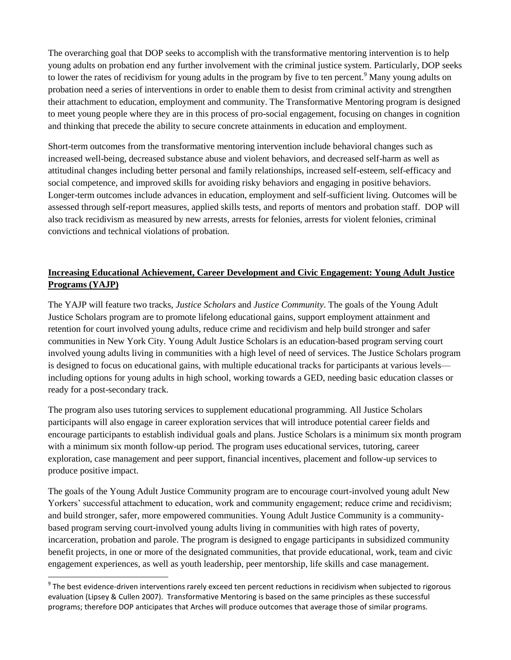The overarching goal that DOP seeks to accomplish with the transformative mentoring intervention is to help young adults on probation end any further involvement with the criminal justice system. Particularly, DOP seeks to lower the rates of recidivism for young adults in the program by five to ten percent.<sup>9</sup> Many young adults on probation need a series of interventions in order to enable them to desist from criminal activity and strengthen their attachment to education, employment and community. The Transformative Mentoring program is designed to meet young people where they are in this process of pro-social engagement, focusing on changes in cognition and thinking that precede the ability to secure concrete attainments in education and employment.

Short-term outcomes from the transformative mentoring intervention include behavioral changes such as increased well-being, decreased substance abuse and violent behaviors, and decreased self-harm as well as attitudinal changes including better personal and family relationships, increased self-esteem, self-efficacy and social competence, and improved skills for avoiding risky behaviors and engaging in positive behaviors. Longer-term outcomes include advances in education, employment and self-sufficient living. Outcomes will be assessed through self-report measures, applied skills tests, and reports of mentors and probation staff. DOP will also track recidivism as measured by new arrests, arrests for felonies, arrests for violent felonies, criminal convictions and technical violations of probation.

## **Increasing Educational Achievement, Career Development and Civic Engagement: Young Adult Justice Programs (YAJP)**

The YAJP will feature two tracks, *Justice Scholars* and *Justice Community*. The goals of the Young Adult Justice Scholars program are to promote lifelong educational gains, support employment attainment and retention for court involved young adults, reduce crime and recidivism and help build stronger and safer communities in New York City. Young Adult Justice Scholars is an education-based program serving court involved young adults living in communities with a high level of need of services. The Justice Scholars program is designed to focus on educational gains, with multiple educational tracks for participants at various levels including options for young adults in high school, working towards a GED, needing basic education classes or ready for a post-secondary track.

The program also uses tutoring services to supplement educational programming. All Justice Scholars participants will also engage in career exploration services that will introduce potential career fields and encourage participants to establish individual goals and plans. Justice Scholars is a minimum six month program with a minimum six month follow-up period. The program uses educational services, tutoring, career exploration, case management and peer support, financial incentives, placement and follow-up services to produce positive impact.

The goals of the Young Adult Justice Community program are to encourage court-involved young adult New Yorkers' successful attachment to education, work and community engagement; reduce crime and recidivism; and build stronger, safer, more empowered communities. Young Adult Justice Community is a communitybased program serving court-involved young adults living in communities with high rates of poverty, incarceration, probation and parole. The program is designed to engage participants in subsidized community benefit projects, in one or more of the designated communities, that provide educational, work, team and civic engagement experiences, as well as youth leadership, peer mentorship, life skills and case management.

<sup>&</sup>lt;u>enties to be the vidence-driven interventions</u> rarely exceed ten percent reductions in recidivism when subjected to rigorous **productions** evaluation (Lipsey & Cullen 2007). Transformative Mentoring is based on the same principles as these successful programs; therefore DOP anticipates that Arches will produce outcomes that average those of similar programs.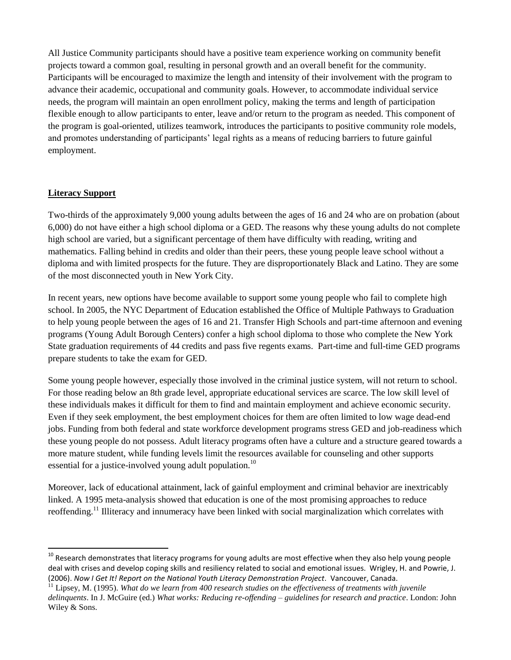All Justice Community participants should have a positive team experience working on community benefit projects toward a common goal, resulting in personal growth and an overall benefit for the community. Participants will be encouraged to maximize the length and intensity of their involvement with the program to advance their academic, occupational and community goals. However, to accommodate individual service needs, the program will maintain an open enrollment policy, making the terms and length of participation flexible enough to allow participants to enter, leave and/or return to the program as needed. This component of the program is goal-oriented, utilizes teamwork, introduces the participants to positive community role models, and promotes understanding of participants' legal rights as a means of reducing barriers to future gainful employment.

### **Literacy Support**

 $\overline{a}$ 

Two-thirds of the approximately 9,000 young adults between the ages of 16 and 24 who are on probation (about 6,000) do not have either a high school diploma or a GED. The reasons why these young adults do not complete high school are varied, but a significant percentage of them have difficulty with reading, writing and mathematics. Falling behind in credits and older than their peers, these young people leave school without a diploma and with limited prospects for the future. They are disproportionately Black and Latino. They are some of the most disconnected youth in New York City.

In recent years, new options have become available to support some young people who fail to complete high school. In 2005, the NYC Department of Education established the Office of Multiple Pathways to Graduation to help young people between the ages of 16 and 21. Transfer High Schools and part-time afternoon and evening programs (Young Adult Borough Centers) confer a high school diploma to those who complete the New York State graduation requirements of 44 credits and pass five regents exams. Part-time and full-time GED programs prepare students to take the exam for GED.

Some young people however, especially those involved in the criminal justice system, will not return to school. For those reading below an 8th grade level, appropriate educational services are scarce. The low skill level of these individuals makes it difficult for them to find and maintain employment and achieve economic security. Even if they seek employment, the best employment choices for them are often limited to low wage dead-end jobs. Funding from both federal and state workforce development programs stress GED and job-readiness which these young people do not possess. Adult literacy programs often have a culture and a structure geared towards a more mature student, while funding levels limit the resources available for counseling and other supports essential for a justice-involved young adult population.<sup>10</sup>

Moreover, lack of educational attainment, lack of gainful employment and criminal behavior are inextricably linked. A 1995 meta-analysis showed that education is one of the most promising approaches to reduce reoffending.<sup>11</sup> Illiteracy and innumeracy have been linked with social marginalization which correlates with

 $^{10}$  Research demonstrates that literacy programs for young adults are most effective when they also help young people deal with crises and develop coping skills and resiliency related to social and emotional issues. Wrigley, H. and Powrie, J. (2006). *Now I Get It! Report on the National Youth Literacy Demonstration Project*. Vancouver, Canada.

<sup>&</sup>lt;sup>11</sup> Lipsey, M. (1995). *What do we learn from 400 research studies on the effectiveness of treatments with juvenile delinquents*. In J. McGuire (ed.) *What works: Reducing re-offending – guidelines for research and practice*. London: John Wiley & Sons.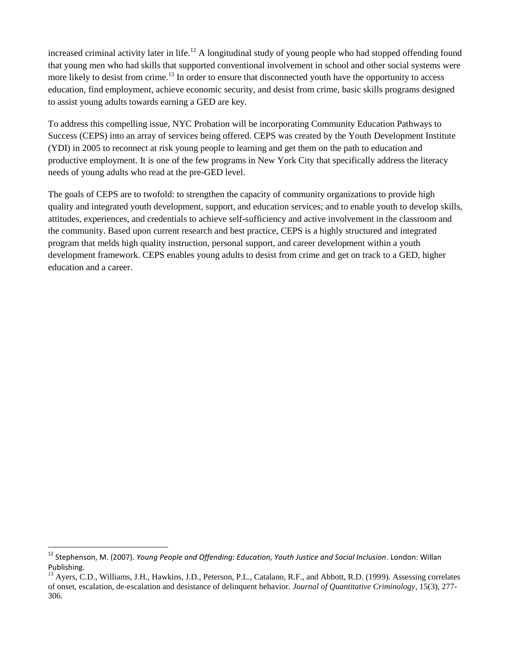increased criminal activity later in life.<sup>12</sup> A longitudinal study of young people who had stopped offending found that young men who had skills that supported conventional involvement in school and other social systems were more likely to desist from crime.<sup>13</sup> In order to ensure that disconnected youth have the opportunity to access education, find employment, achieve economic security, and desist from crime, basic skills programs designed to assist young adults towards earning a GED are key.

To address this compelling issue, NYC Probation will be incorporating Community Education Pathways to Success (CEPS) into an array of services being offered. CEPS was created by the Youth Development Institute (YDI) in 2005 to reconnect at risk young people to learning and get them on the path to education and productive employment. It is one of the few programs in New York City that specifically address the literacy needs of young adults who read at the pre-GED level.

The goals of CEPS are to twofold: to strengthen the capacity of community organizations to provide high quality and integrated youth development, support, and education services; and to enable youth to develop skills, attitudes, experiences, and credentials to achieve self-sufficiency and active involvement in the classroom and the community. Based upon current research and best practice, CEPS is a highly structured and integrated program that melds high quality instruction, personal support, and career development within a youth development framework. CEPS enables young adults to desist from crime and get on track to a GED, higher education and a career.

 $\overline{a}$ 

<sup>&</sup>lt;sup>12</sup> Stephenson, M. (2007). *Young People and Offending: Education, Youth Justice and Social Inclusion*. London: Willan Publishing.

<sup>13</sup> Ayers, C.D., Williams, J.H., Hawkins, J.D., Peterson, P.L., Catalano, R.F., and Abbott, R.D. (1999). Assessing correlates of onset, escalation, de-escalation and desistance of delinquent behavior. *Journal of Quantitative Criminology*, 15(3), 277- 306.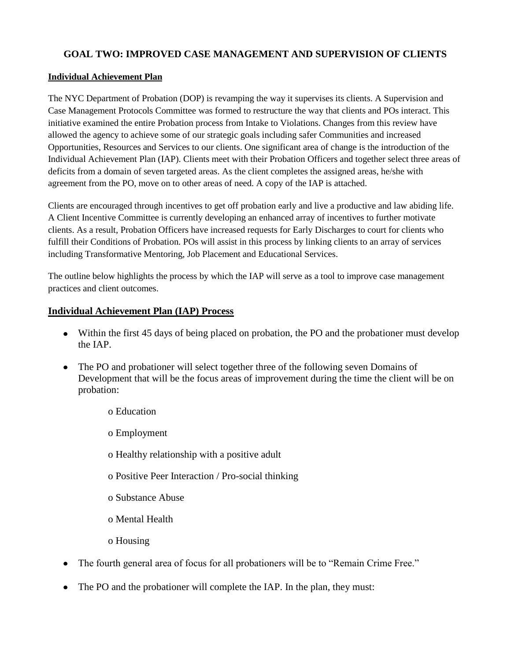## **GOAL TWO: IMPROVED CASE MANAGEMENT AND SUPERVISION OF CLIENTS**

### **Individual Achievement Plan**

The NYC Department of Probation (DOP) is revamping the way it supervises its clients. A Supervision and Case Management Protocols Committee was formed to restructure the way that clients and POs interact. This initiative examined the entire Probation process from Intake to Violations. Changes from this review have allowed the agency to achieve some of our strategic goals including safer Communities and increased Opportunities, Resources and Services to our clients. One significant area of change is the introduction of the Individual Achievement Plan (IAP). Clients meet with their Probation Officers and together select three areas of deficits from a domain of seven targeted areas. As the client completes the assigned areas, he/she with agreement from the PO, move on to other areas of need. A copy of the IAP is attached.

Clients are encouraged through incentives to get off probation early and live a productive and law abiding life. A Client Incentive Committee is currently developing an enhanced array of incentives to further motivate clients. As a result, Probation Officers have increased requests for Early Discharges to court for clients who fulfill their Conditions of Probation. POs will assist in this process by linking clients to an array of services including Transformative Mentoring, Job Placement and Educational Services.

The outline below highlights the process by which the IAP will serve as a tool to improve case management practices and client outcomes.

### **Individual Achievement Plan (IAP) Process**

- Within the first 45 days of being placed on probation, the PO and the probationer must develop the IAP.
- The PO and probationer will select together three of the following seven Domains of Development that will be the focus areas of improvement during the time the client will be on probation:
	- o Education
	- o Employment
	- o Healthy relationship with a positive adult
	- o Positive Peer Interaction / Pro-social thinking
	- o Substance Abuse
	- o Mental Health
	- o Housing
- The fourth general area of focus for all probationers will be to "Remain Crime Free."
- The PO and the probationer will complete the IAP. In the plan, they must: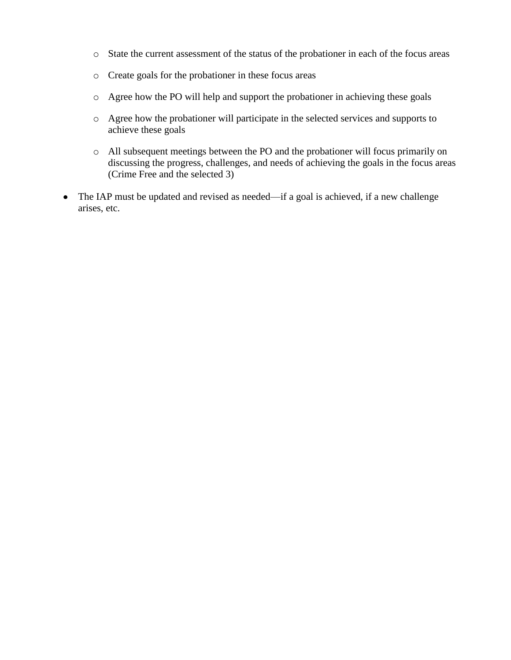- o State the current assessment of the status of the probationer in each of the focus areas
- o Create goals for the probationer in these focus areas
- o Agree how the PO will help and support the probationer in achieving these goals
- o Agree how the probationer will participate in the selected services and supports to achieve these goals
- o All subsequent meetings between the PO and the probationer will focus primarily on discussing the progress, challenges, and needs of achieving the goals in the focus areas (Crime Free and the selected 3)
- The IAP must be updated and revised as needed—if a goal is achieved, if a new challenge arises, etc.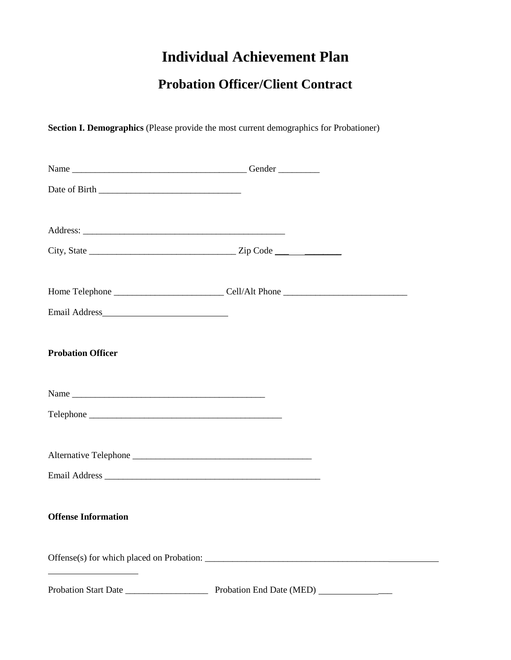# **Individual Achievement Plan**

# **Probation Officer/Client Contract**

**Section I. Demographics** (Please provide the most current demographics for Probationer)

| Email Address              |                                           |  |
|----------------------------|-------------------------------------------|--|
| <b>Probation Officer</b>   |                                           |  |
|                            |                                           |  |
|                            |                                           |  |
|                            |                                           |  |
| Alternative Telephone      |                                           |  |
|                            |                                           |  |
| <b>Offense Information</b> |                                           |  |
|                            | Offense(s) for which placed on Probation: |  |
|                            |                                           |  |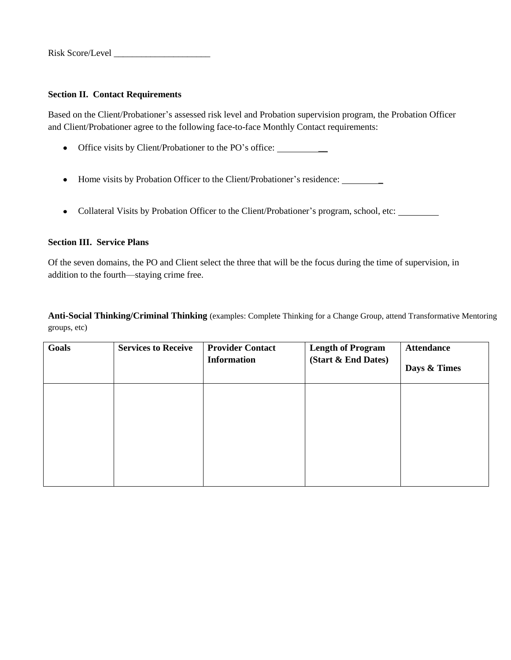### **Section II. Contact Requirements**

Based on the Client/Probationer's assessed risk level and Probation supervision program, the Probation Officer and Client/Probationer agree to the following face-to-face Monthly Contact requirements:

- Office visits by Client/Probationer to the PO's office:
- Home visits by Probation Officer to the Client/Probationer's residence:
- Collateral Visits by Probation Officer to the Client/Probationer's program, school, etc:

### **Section III. Service Plans**

Of the seven domains, the PO and Client select the three that will be the focus during the time of supervision, in addition to the fourth—staying crime free.

**Anti-Social Thinking/Criminal Thinking** (examples: Complete Thinking for a Change Group, attend Transformative Mentoring groups, etc)

| Goals | <b>Services to Receive</b> | <b>Provider Contact</b><br><b>Information</b> | <b>Length of Program</b><br>(Start & End Dates) | <b>Attendance</b><br>Days & Times |
|-------|----------------------------|-----------------------------------------------|-------------------------------------------------|-----------------------------------|
|       |                            |                                               |                                                 |                                   |
|       |                            |                                               |                                                 |                                   |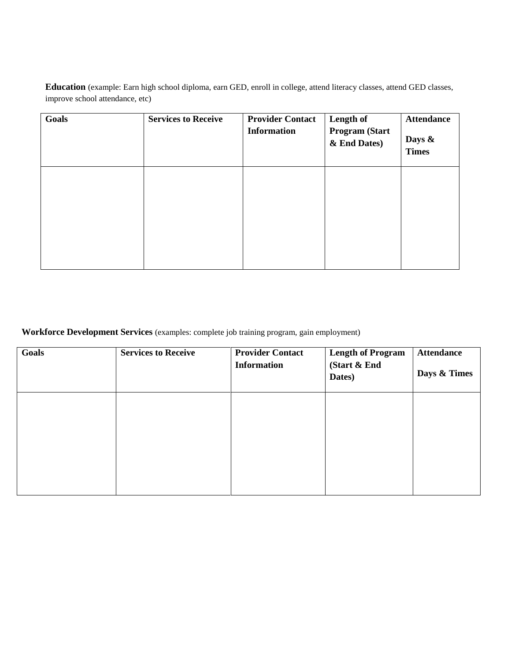**Education** (example: Earn high school diploma, earn GED, enroll in college, attend literacy classes, attend GED classes, improve school attendance, etc)

| Goals | <b>Services to Receive</b> | <b>Provider Contact</b><br><b>Information</b> | Length of<br><b>Program (Start</b><br>& End Dates) | <b>Attendance</b><br>Days &<br><b>Times</b> |
|-------|----------------------------|-----------------------------------------------|----------------------------------------------------|---------------------------------------------|
|       |                            |                                               |                                                    |                                             |
|       |                            |                                               |                                                    |                                             |

**Workforce Development Services** (examples: complete job training program, gain employment)

| Goals | <b>Services to Receive</b> | <b>Provider Contact</b><br><b>Information</b> | <b>Length of Program</b><br>(Start & End<br>Dates) | <b>Attendance</b><br>Days & Times |
|-------|----------------------------|-----------------------------------------------|----------------------------------------------------|-----------------------------------|
|       |                            |                                               |                                                    |                                   |
|       |                            |                                               |                                                    |                                   |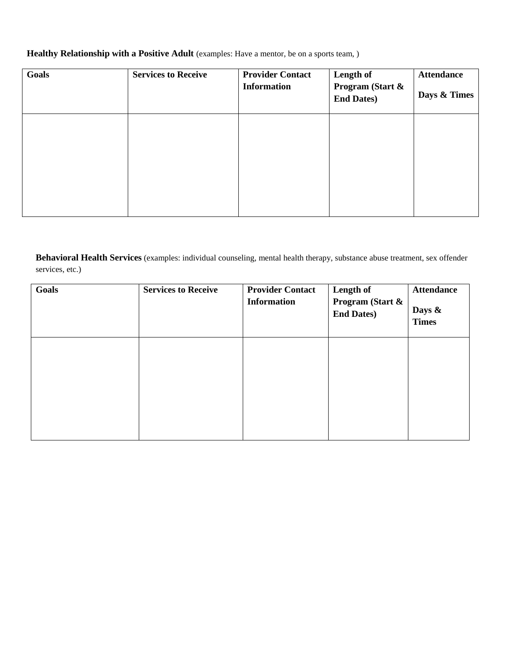## Healthy Relationship with a Positive Adult (examples: Have a mentor, be on a sports team, )

| Goals | <b>Services to Receive</b> | <b>Provider Contact</b><br><b>Information</b> | Length of<br>Program (Start &<br><b>End Dates)</b> | <b>Attendance</b><br>Days & Times |
|-------|----------------------------|-----------------------------------------------|----------------------------------------------------|-----------------------------------|
|       |                            |                                               |                                                    |                                   |
|       |                            |                                               |                                                    |                                   |

**Behavioral Health Services** (examples: individual counseling, mental health therapy, substance abuse treatment, sex offender services, etc.)

| Goals | <b>Services to Receive</b> | <b>Provider Contact</b><br><b>Information</b> | Length of<br>Program (Start &<br><b>End Dates)</b> | <b>Attendance</b><br>Days &<br><b>Times</b> |
|-------|----------------------------|-----------------------------------------------|----------------------------------------------------|---------------------------------------------|
|       |                            |                                               |                                                    |                                             |
|       |                            |                                               |                                                    |                                             |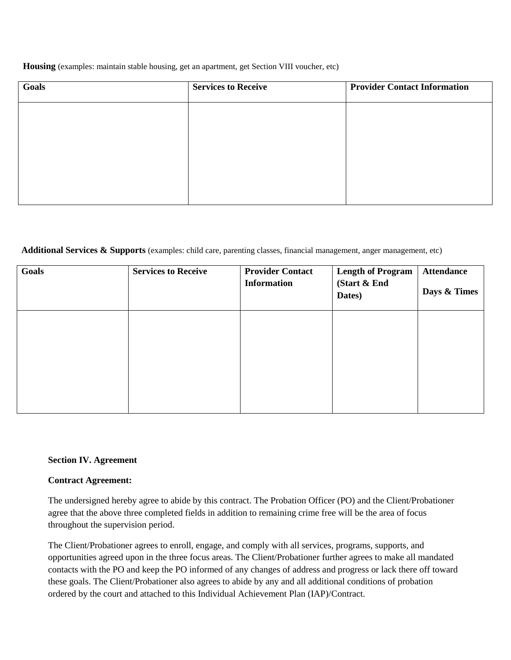### **Housing** (examples: maintain stable housing, get an apartment, get Section VIII voucher, etc)

| Goals | <b>Services to Receive</b> | <b>Provider Contact Information</b> |
|-------|----------------------------|-------------------------------------|
|       |                            |                                     |
|       |                            |                                     |
|       |                            |                                     |
|       |                            |                                     |
|       |                            |                                     |

### **Additional Services & Supports** (examples: child care, parenting classes, financial management, anger management, etc)

| Goals | <b>Services to Receive</b> | <b>Provider Contact</b><br><b>Information</b> | <b>Length of Program</b><br>(Start & End<br>Dates) | <b>Attendance</b><br>Days & Times |
|-------|----------------------------|-----------------------------------------------|----------------------------------------------------|-----------------------------------|
|       |                            |                                               |                                                    |                                   |
|       |                            |                                               |                                                    |                                   |

### **Section IV. Agreement**

### **Contract Agreement:**

The undersigned hereby agree to abide by this contract. The Probation Officer (PO) and the Client/Probationer agree that the above three completed fields in addition to remaining crime free will be the area of focus throughout the supervision period.

The Client/Probationer agrees to enroll, engage, and comply with all services, programs, supports, and opportunities agreed upon in the three focus areas. The Client/Probationer further agrees to make all mandated contacts with the PO and keep the PO informed of any changes of address and progress or lack there off toward these goals. The Client/Probationer also agrees to abide by any and all additional conditions of probation ordered by the court and attached to this Individual Achievement Plan (IAP)/Contract.